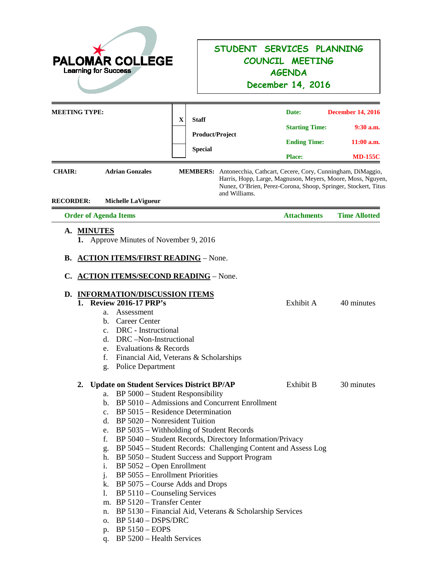| <b>PALOMAR COLLEGE</b><br><b>Learning for Success</b> |                                                                                                                                                                                                                                                                                                                                                                                                                                                                                                                                                                                                                              |                                               | STUDENT SERVICES PLANNING<br>COUNCIL MEETING<br><b>AGENDA</b><br>December 14, 2016 |                                                                                                                                                                                                                                                                                       |                                                                           |
|-------------------------------------------------------|------------------------------------------------------------------------------------------------------------------------------------------------------------------------------------------------------------------------------------------------------------------------------------------------------------------------------------------------------------------------------------------------------------------------------------------------------------------------------------------------------------------------------------------------------------------------------------------------------------------------------|-----------------------------------------------|------------------------------------------------------------------------------------|---------------------------------------------------------------------------------------------------------------------------------------------------------------------------------------------------------------------------------------------------------------------------------------|---------------------------------------------------------------------------|
| <b>MEETING TYPE:</b><br><b>CHAIR:</b>                 | <b>Adrian Gonzales</b>                                                                                                                                                                                                                                                                                                                                                                                                                                                                                                                                                                                                       | $\mathbf X$<br><b>Staff</b><br><b>Special</b> | <b>Product/Project</b><br>and Williams.                                            | Date:<br><b>Starting Time:</b><br><b>Ending Time:</b><br><b>Place:</b><br><b>MEMBERS:</b> Antonecchia, Cathcart, Cecere, Cory, Cunningham, DiMaggio,<br>Harris, Hopp, Large, Magnuson, Meyers, Moore, Moss, Nguyen,<br>Nunez, O'Brien, Perez-Corona, Shoop, Springer, Stockert, Titus | <b>December 14, 2016</b><br>$9:30$ a.m.<br>$11:00$ a.m.<br><b>MD-155C</b> |
| <b>RECORDER:</b>                                      | <b>Michelle LaVigueur</b><br><b>Order of Agenda Items</b>                                                                                                                                                                                                                                                                                                                                                                                                                                                                                                                                                                    |                                               |                                                                                    | <b>Attachments</b>                                                                                                                                                                                                                                                                    | <b>Time Allotted</b>                                                      |
| В.<br>D.<br>1.                                        | 1. Approve Minutes of November 9, 2016<br><b>ACTION ITEMS/FIRST READING - None.</b><br>C. ACTION ITEMS/SECOND READING - None.<br><b>INFORMATION/DISCUSSION ITEMS</b><br><b>Review 2016-17 PRP's</b><br>Assessment<br>a.<br><b>Career Center</b><br>b.<br>DRC - Instructional<br>$\mathbf{c}$ .<br>DRC-Non-Instructional<br>d.<br>Evaluations & Records<br>e.<br>Financial Aid, Veterans & Scholarships<br>f.<br>Police Department<br>g.                                                                                                                                                                                      |                                               |                                                                                    | Exhibit A                                                                                                                                                                                                                                                                             | 40 minutes                                                                |
| $2_{\bullet}$                                         | <b>Update on Student Services District BP/AP</b><br>BP 5000 – Student Responsibility<br>a.<br>BP 5010 – Admissions and Concurrent Enrollment<br>b.<br>c. BP 5015 – Residence Determination<br>d. BP $5020$ – Nonresident Tuition<br>e. BP 5035 – Withholding of Student Records<br>f.<br>BP 5040 - Student Records, Directory Information/Privacy<br>g.<br>BP 5050 – Student Success and Support Program<br>h.<br>BP 5052 – Open Enrollment<br>i.<br>BP 5055 – Enrollment Priorities<br>$\mathbf{j}$ .<br>BP 5075 – Course Adds and Drops<br>k.<br>$\overline{D} \overline{D}$ $\overline{E}$ 110 $C$ and all $\overline{E}$ |                                               |                                                                                    | Exhibit B<br>BP 5045 - Student Records: Challenging Content and Assess Log                                                                                                                                                                                                            | 30 minutes                                                                |

- l. BP 5110 Counseling Services m. BP 5120 – Transfer Center
- n. BP 5130 Financial Aid, Veterans & Scholarship Services
- o. BP 5140 DSPS/DRC
- p. BP 5150 EOPS
- q. BP 5200 Health Services